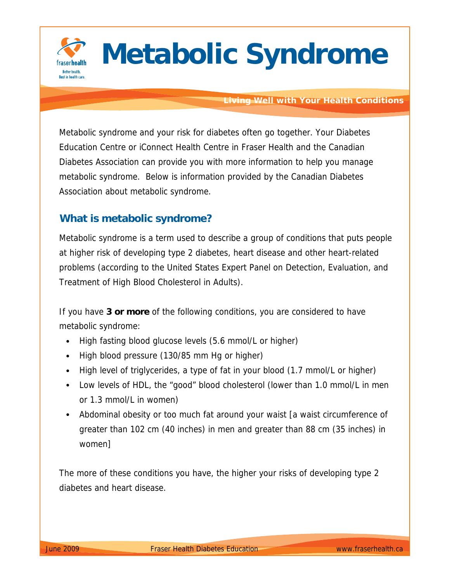

# **Metabolic Syndrome**

#### **Living Well with Your Health Conditions**

Metabolic syndrome and your risk for diabetes often go together. Your Diabetes Education Centre or iConnect Health Centre in Fraser Health and the Canadian Diabetes Association can provide you with more information to help you manage metabolic syndrome. Below is information provided by the Canadian Diabetes Association about metabolic syndrome.

## **What is metabolic syndrome?**

Metabolic syndrome is a term used to describe a group of conditions that puts people at higher risk of developing type 2 diabetes, heart disease and other heart-related problems (according to the United States Expert Panel on Detection, Evaluation, and Treatment of High Blood Cholesterol in Adults).

If you have **3 or more** of the following conditions, you are considered to have metabolic syndrome:

- High fasting blood glucose levels (5.6 mmol/L or higher)
- High blood pressure (130/85 mm Hg or higher)
- High level of triglycerides, a type of fat in your blood (1.7 mmol/L or higher)
- Low levels of HDL, the "good" blood cholesterol (lower than 1.0 mmol/L in men or 1.3 mmol/L in women)
- Abdominal obesity or too much fat around your waist [a waist circumference of greater than 102 cm (40 inches) in men and greater than 88 cm (35 inches) in women]

The more of these conditions you have, the higher your risks of developing type 2 diabetes and heart disease.